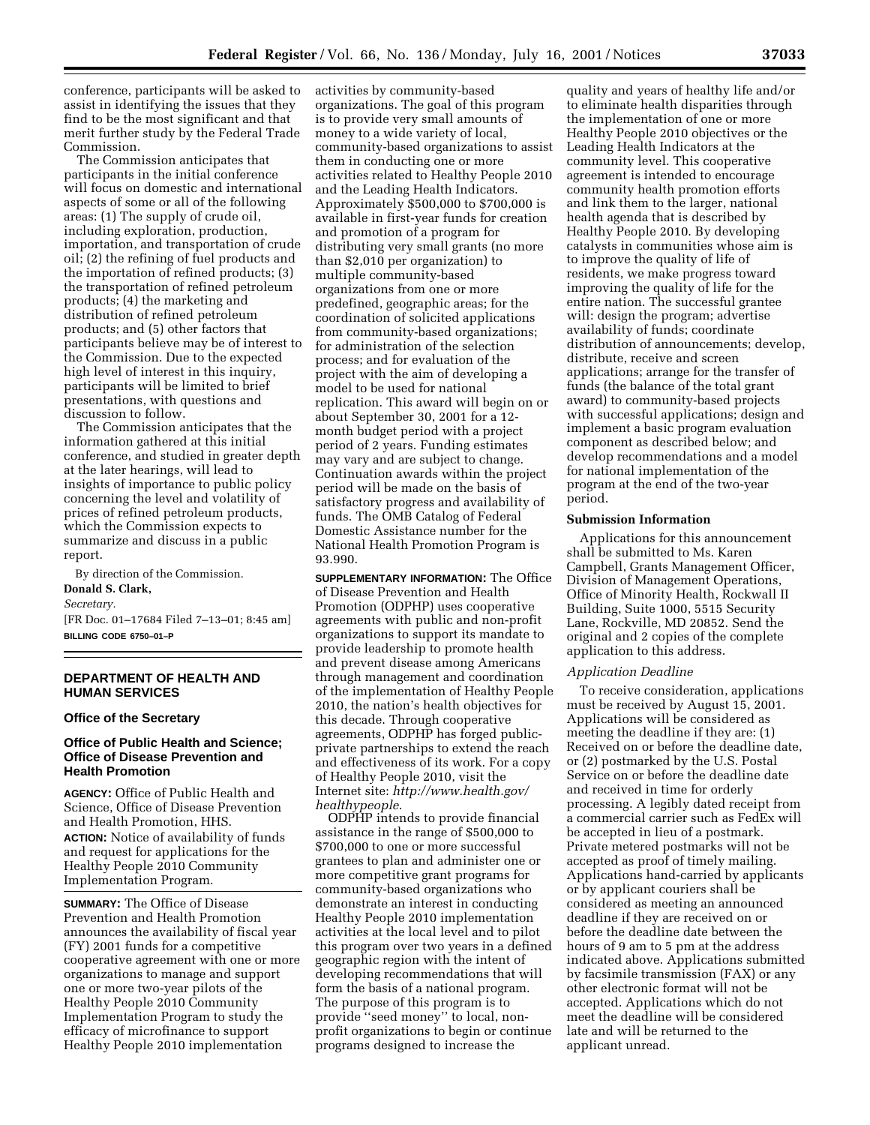conference, participants will be asked to assist in identifying the issues that they find to be the most significant and that merit further study by the Federal Trade Commission.

The Commission anticipates that participants in the initial conference will focus on domestic and international aspects of some or all of the following areas: (1) The supply of crude oil, including exploration, production, importation, and transportation of crude oil; (2) the refining of fuel products and the importation of refined products; (3) the transportation of refined petroleum products; (4) the marketing and distribution of refined petroleum products; and (5) other factors that participants believe may be of interest to the Commission. Due to the expected high level of interest in this inquiry, participants will be limited to brief presentations, with questions and discussion to follow.

The Commission anticipates that the information gathered at this initial conference, and studied in greater depth at the later hearings, will lead to insights of importance to public policy concerning the level and volatility of prices of refined petroleum products, which the Commission expects to summarize and discuss in a public report.

By direction of the Commission.

# **Donald S. Clark,**

*Secretary.*

[FR Doc. 01–17684 Filed 7–13–01; 8:45 am] **BILLING CODE 6750–01–P**

# **DEPARTMENT OF HEALTH AND HUMAN SERVICES**

## **Office of the Secretary**

# **Office of Public Health and Science; Office of Disease Prevention and Health Promotion**

**AGENCY:** Office of Public Health and Science, Office of Disease Prevention and Health Promotion, HHS. **ACTION:** Notice of availability of funds and request for applications for the Healthy People 2010 Community Implementation Program.

**SUMMARY:** The Office of Disease Prevention and Health Promotion announces the availability of fiscal year (FY) 2001 funds for a competitive cooperative agreement with one or more organizations to manage and support one or more two-year pilots of the Healthy People 2010 Community Implementation Program to study the efficacy of microfinance to support Healthy People 2010 implementation

activities by community-based organizations. The goal of this program is to provide very small amounts of money to a wide variety of local, community-based organizations to assist them in conducting one or more activities related to Healthy People 2010 and the Leading Health Indicators. Approximately \$500,000 to \$700,000 is available in first-year funds for creation and promotion of a program for distributing very small grants (no more than \$2,010 per organization) to multiple community-based organizations from one or more predefined, geographic areas; for the coordination of solicited applications from community-based organizations; for administration of the selection process; and for evaluation of the project with the aim of developing a model to be used for national replication. This award will begin on or about September 30, 2001 for a 12 month budget period with a project period of 2 years. Funding estimates may vary and are subject to change. Continuation awards within the project period will be made on the basis of satisfactory progress and availability of funds. The OMB Catalog of Federal Domestic Assistance number for the National Health Promotion Program is 93.990.

**SUPPLEMENTARY INFORMATION:** The Office of Disease Prevention and Health Promotion (ODPHP) uses cooperative agreements with public and non-profit organizations to support its mandate to provide leadership to promote health and prevent disease among Americans through management and coordination of the implementation of Healthy People 2010, the nation's health objectives for this decade. Through cooperative agreements, ODPHP has forged publicprivate partnerships to extend the reach and effectiveness of its work. For a copy of Healthy People 2010, visit the Internet site: *http://www.health.gov/ healthypeople*.

ODPHP intends to provide financial assistance in the range of \$500,000 to \$700,000 to one or more successful grantees to plan and administer one or more competitive grant programs for community-based organizations who demonstrate an interest in conducting Healthy People 2010 implementation activities at the local level and to pilot this program over two years in a defined geographic region with the intent of developing recommendations that will form the basis of a national program. The purpose of this program is to provide ''seed money'' to local, nonprofit organizations to begin or continue programs designed to increase the

quality and years of healthy life and/or to eliminate health disparities through the implementation of one or more Healthy People 2010 objectives or the Leading Health Indicators at the community level. This cooperative agreement is intended to encourage community health promotion efforts and link them to the larger, national health agenda that is described by Healthy People 2010. By developing catalysts in communities whose aim is to improve the quality of life of residents, we make progress toward improving the quality of life for the entire nation. The successful grantee will: design the program; advertise availability of funds; coordinate distribution of announcements; develop, distribute, receive and screen applications; arrange for the transfer of funds (the balance of the total grant award) to community-based projects with successful applications; design and implement a basic program evaluation component as described below; and develop recommendations and a model for national implementation of the program at the end of the two-year period.

#### **Submission Information**

Applications for this announcement shall be submitted to Ms. Karen Campbell, Grants Management Officer, Division of Management Operations, Office of Minority Health, Rockwall II Building, Suite 1000, 5515 Security Lane, Rockville, MD 20852. Send the original and 2 copies of the complete application to this address.

#### *Application Deadline*

To receive consideration, applications must be received by August 15, 2001. Applications will be considered as meeting the deadline if they are: (1) Received on or before the deadline date, or (2) postmarked by the U.S. Postal Service on or before the deadline date and received in time for orderly processing. A legibly dated receipt from a commercial carrier such as FedEx will be accepted in lieu of a postmark. Private metered postmarks will not be accepted as proof of timely mailing. Applications hand-carried by applicants or by applicant couriers shall be considered as meeting an announced deadline if they are received on or before the deadline date between the hours of 9 am to 5 pm at the address indicated above. Applications submitted by facsimile transmission (FAX) or any other electronic format will not be accepted. Applications which do not meet the deadline will be considered late and will be returned to the applicant unread.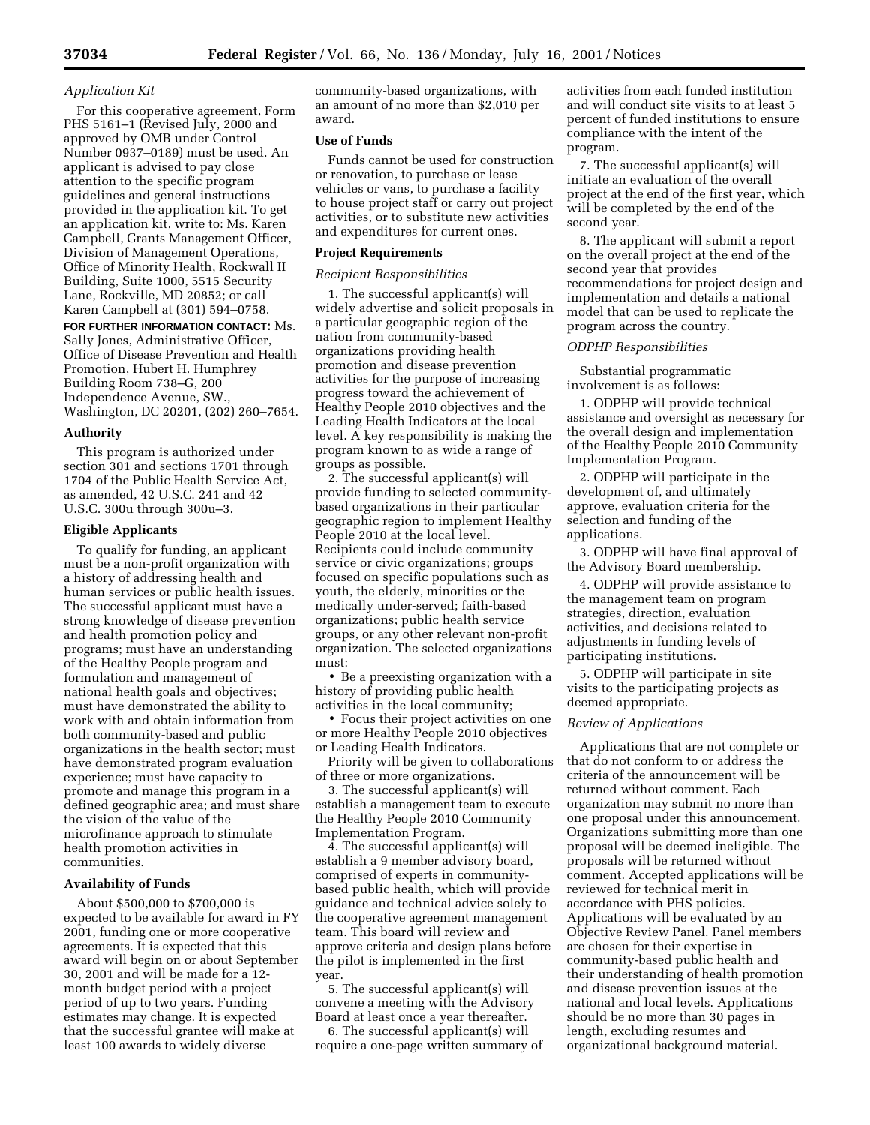# *Application Kit*

For this cooperative agreement, Form PHS 5161–1 (Revised July, 2000 and approved by OMB under Control Number 0937–0189) must be used. An applicant is advised to pay close attention to the specific program guidelines and general instructions provided in the application kit. To get an application kit, write to: Ms. Karen Campbell, Grants Management Officer, Division of Management Operations, Office of Minority Health, Rockwall II Building, Suite 1000, 5515 Security Lane, Rockville, MD 20852; or call Karen Campbell at (301) 594–0758.

**FOR FURTHER INFORMATION CONTACT:** Ms. Sally Jones, Administrative Officer, Office of Disease Prevention and Health Promotion, Hubert H. Humphrey Building Room 738–G, 200 Independence Avenue, SW., Washington, DC 20201, (202) 260–7654.

#### **Authority**

This program is authorized under section 301 and sections 1701 through 1704 of the Public Health Service Act, as amended, 42 U.S.C. 241 and 42 U.S.C. 300u through 300u–3.

### **Eligible Applicants**

To qualify for funding, an applicant must be a non-profit organization with a history of addressing health and human services or public health issues. The successful applicant must have a strong knowledge of disease prevention and health promotion policy and programs; must have an understanding of the Healthy People program and formulation and management of national health goals and objectives; must have demonstrated the ability to work with and obtain information from both community-based and public organizations in the health sector; must have demonstrated program evaluation experience; must have capacity to promote and manage this program in a defined geographic area; and must share the vision of the value of the microfinance approach to stimulate health promotion activities in communities.

# **Availability of Funds**

About \$500,000 to \$700,000 is expected to be available for award in FY 2001, funding one or more cooperative agreements. It is expected that this award will begin on or about September 30, 2001 and will be made for a 12 month budget period with a project period of up to two years. Funding estimates may change. It is expected that the successful grantee will make at least 100 awards to widely diverse

community-based organizations, with an amount of no more than \$2,010 per award.

# **Use of Funds**

Funds cannot be used for construction or renovation, to purchase or lease vehicles or vans, to purchase a facility to house project staff or carry out project activities, or to substitute new activities and expenditures for current ones.

# **Project Requirements**

### *Recipient Responsibilities*

1. The successful applicant(s) will widely advertise and solicit proposals in a particular geographic region of the nation from community-based organizations providing health promotion and disease prevention activities for the purpose of increasing progress toward the achievement of Healthy People 2010 objectives and the Leading Health Indicators at the local level. A key responsibility is making the program known to as wide a range of groups as possible.

2. The successful applicant(s) will provide funding to selected communitybased organizations in their particular geographic region to implement Healthy People 2010 at the local level. Recipients could include community service or civic organizations; groups focused on specific populations such as youth, the elderly, minorities or the medically under-served; faith-based organizations; public health service groups, or any other relevant non-profit organization. The selected organizations must:

• Be a preexisting organization with a history of providing public health activities in the local community;

• Focus their project activities on one or more Healthy People 2010 objectives or Leading Health Indicators.

Priority will be given to collaborations of three or more organizations.

3. The successful applicant(s) will establish a management team to execute the Healthy People 2010 Community Implementation Program.

4. The successful applicant(s) will establish a 9 member advisory board, comprised of experts in communitybased public health, which will provide guidance and technical advice solely to the cooperative agreement management team. This board will review and approve criteria and design plans before the pilot is implemented in the first year.

5. The successful applicant(s) will convene a meeting with the Advisory Board at least once a year thereafter.

6. The successful applicant(s) will require a one-page written summary of

activities from each funded institution and will conduct site visits to at least 5 percent of funded institutions to ensure compliance with the intent of the program.

7. The successful applicant(s) will initiate an evaluation of the overall project at the end of the first year, which will be completed by the end of the second year.

8. The applicant will submit a report on the overall project at the end of the second year that provides recommendations for project design and implementation and details a national model that can be used to replicate the program across the country.

#### *ODPHP Responsibilities*

Substantial programmatic involvement is as follows:

1. ODPHP will provide technical assistance and oversight as necessary for the overall design and implementation of the Healthy People 2010 Community Implementation Program.

2. ODPHP will participate in the development of, and ultimately approve, evaluation criteria for the selection and funding of the applications.

3. ODPHP will have final approval of the Advisory Board membership.

4. ODPHP will provide assistance to the management team on program strategies, direction, evaluation activities, and decisions related to adjustments in funding levels of participating institutions.

5. ODPHP will participate in site visits to the participating projects as deemed appropriate.

# *Review of Applications*

Applications that are not complete or that do not conform to or address the criteria of the announcement will be returned without comment. Each organization may submit no more than one proposal under this announcement. Organizations submitting more than one proposal will be deemed ineligible. The proposals will be returned without comment. Accepted applications will be reviewed for technical merit in accordance with PHS policies. Applications will be evaluated by an Objective Review Panel. Panel members are chosen for their expertise in community-based public health and their understanding of health promotion and disease prevention issues at the national and local levels. Applications should be no more than 30 pages in length, excluding resumes and organizational background material.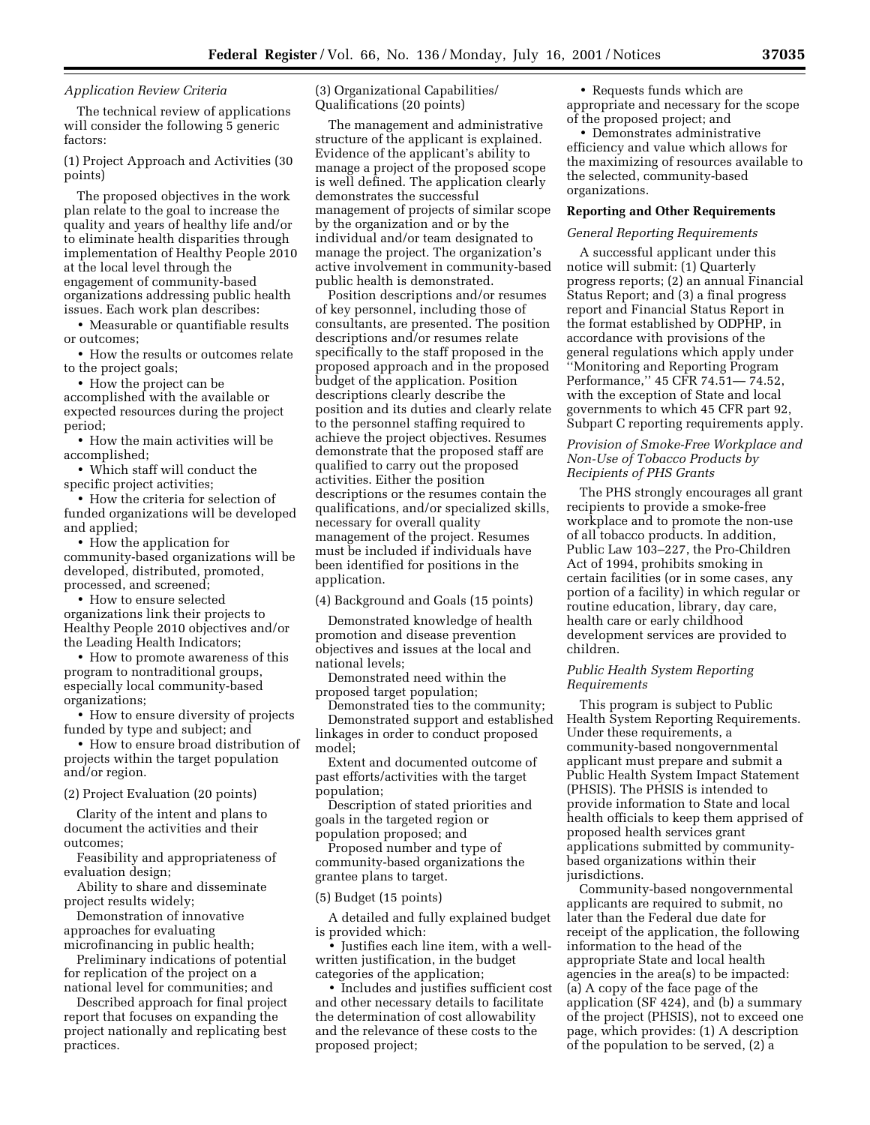# *Application Review Criteria*

The technical review of applications will consider the following 5 generic factors:

(1) Project Approach and Activities (30 points)

The proposed objectives in the work plan relate to the goal to increase the quality and years of healthy life and/or to eliminate health disparities through implementation of Healthy People 2010 at the local level through the engagement of community-based organizations addressing public health issues. Each work plan describes:

• Measurable or quantifiable results or outcomes;

• How the results or outcomes relate to the project goals;

• How the project can be accomplished with the available or expected resources during the project period;

• How the main activities will be accomplished;

• Which staff will conduct the specific project activities;

• How the criteria for selection of funded organizations will be developed and applied;

• How the application for community-based organizations will be developed, distributed, promoted, processed, and screened;

• How to ensure selected organizations link their projects to Healthy People 2010 objectives and/or the Leading Health Indicators;

• How to promote awareness of this program to nontraditional groups, especially local community-based organizations;

• How to ensure diversity of projects funded by type and subject; and

• How to ensure broad distribution of projects within the target population and/or region.

(2) Project Evaluation (20 points)

Clarity of the intent and plans to document the activities and their outcomes;

Feasibility and appropriateness of evaluation design;

Ability to share and disseminate project results widely;

Demonstration of innovative approaches for evaluating microfinancing in public health;

Preliminary indications of potential for replication of the project on a national level for communities; and

Described approach for final project report that focuses on expanding the project nationally and replicating best practices.

(3) Organizational Capabilities/ Qualifications (20 points)

The management and administrative structure of the applicant is explained. Evidence of the applicant's ability to manage a project of the proposed scope is well defined. The application clearly demonstrates the successful management of projects of similar scope by the organization and or by the individual and/or team designated to manage the project. The organization's active involvement in community-based public health is demonstrated.

Position descriptions and/or resumes of key personnel, including those of consultants, are presented. The position descriptions and/or resumes relate specifically to the staff proposed in the proposed approach and in the proposed budget of the application. Position descriptions clearly describe the position and its duties and clearly relate to the personnel staffing required to achieve the project objectives. Resumes demonstrate that the proposed staff are qualified to carry out the proposed activities. Either the position descriptions or the resumes contain the qualifications, and/or specialized skills, necessary for overall quality management of the project. Resumes must be included if individuals have been identified for positions in the application.

(4) Background and Goals (15 points)

Demonstrated knowledge of health promotion and disease prevention objectives and issues at the local and national levels;

Demonstrated need within the proposed target population;

Demonstrated ties to the community; Demonstrated support and established linkages in order to conduct proposed model;

Extent and documented outcome of past efforts/activities with the target population;

Description of stated priorities and goals in the targeted region or population proposed; and

Proposed number and type of community-based organizations the grantee plans to target.

### (5) Budget (15 points)

A detailed and fully explained budget is provided which:

• Justifies each line item, with a wellwritten justification, in the budget categories of the application;

• Includes and justifies sufficient cost and other necessary details to facilitate the determination of cost allowability and the relevance of these costs to the proposed project;

• Requests funds which are appropriate and necessary for the scope of the proposed project; and

• Demonstrates administrative efficiency and value which allows for the maximizing of resources available to the selected, community-based organizations.

#### **Reporting and Other Requirements**

#### *General Reporting Requirements*

A successful applicant under this notice will submit: (1) Quarterly progress reports; (2) an annual Financial Status Report; and (3) a final progress report and Financial Status Report in the format established by ODPHP, in accordance with provisions of the general regulations which apply under ''Monitoring and Reporting Program Performance,'' 45 CFR 74.51— 74.52, with the exception of State and local governments to which 45 CFR part 92, Subpart C reporting requirements apply.

# *Provision of Smoke-Free Workplace and Non-Use of Tobacco Products by Recipients of PHS Grants*

The PHS strongly encourages all grant recipients to provide a smoke-free workplace and to promote the non-use of all tobacco products. In addition, Public Law 103–227, the Pro-Children Act of 1994, prohibits smoking in certain facilities (or in some cases, any portion of a facility) in which regular or routine education, library, day care, health care or early childhood development services are provided to children.

# *Public Health System Reporting Requirements*

This program is subject to Public Health System Reporting Requirements. Under these requirements, a community-based nongovernmental applicant must prepare and submit a Public Health System Impact Statement (PHSIS). The PHSIS is intended to provide information to State and local health officials to keep them apprised of proposed health services grant applications submitted by communitybased organizations within their jurisdictions.

Community-based nongovernmental applicants are required to submit, no later than the Federal due date for receipt of the application, the following information to the head of the appropriate State and local health agencies in the area(s) to be impacted: (a) A copy of the face page of the application (SF 424), and (b) a summary of the project (PHSIS), not to exceed one page, which provides: (1) A description of the population to be served, (2) a